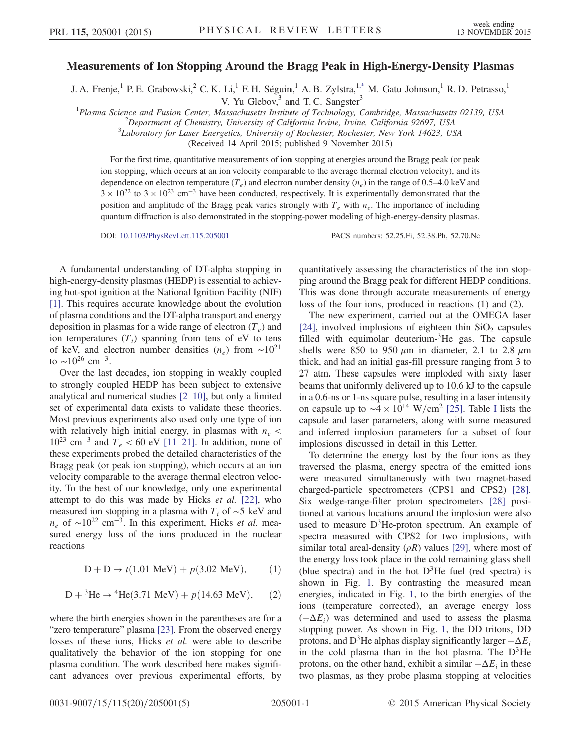## Measurements of Ion Stopping Around the Bragg Peak in High-Energy-Density Plasmas

<span id="page-0-0"></span>J. A. Frenje,<sup>1</sup> P. E. Grabowski,<sup>2</sup> C. K. Li,<sup>1</sup> F. H. Séguin,<sup>1</sup> A. B. Zylstra,<sup>1[,\\*](#page-3-0)</sup> M. Gatu Johnson,<sup>1</sup> R. D. Petrasso,<sup>1</sup>

V. Yu Glebov, $3$  and T. C. Sangster $3$ 

<sup>1</sup>Plasma Science and Fusion Center, Massachusetts Institute of Technology, Cambridge, Massachusetts 02139, USA <sup>2</sup>Department of Chamistry, University of California Imine, California 02607, USA

 $\Omega$ Pepartment of Chemistry, University of California Irvine, Irvine, California 92697, USA

 ${}^{3}$ Laboratory for Laser Energetics, University of Rochester, Rochester, New York 14623, USA

(Received 14 April 2015; published 9 November 2015)

For the first time, quantitative measurements of ion stopping at energies around the Bragg peak (or peak ion stopping, which occurs at an ion velocity comparable to the average thermal electron velocity), and its dependence on electron temperature  $(T_e)$  and electron number density  $(n_e)$  in the range of 0.5–4.0 keV and  $3 \times 10^{22}$  to  $3 \times 10^{23}$  cm<sup>-3</sup> have been conducted, respectively. It is experimentally demonstrated that the position and amplitude of the Bragg peak varies strongly with  $T_e$  with  $n_e$ . The importance of including quantum diffraction is also demonstrated in the stopping-power modeling of high-energy-density plasmas.

DOI: [10.1103/PhysRevLett.115.205001](http://dx.doi.org/10.1103/PhysRevLett.115.205001) PACS numbers: 52.25.Fi, 52.38.Ph, 52.70.Nc

A fundamental understanding of DT-alpha stopping in high-energy-density plasmas (HEDP) is essential to achieving hot-spot ignition at the National Ignition Facility (NIF) [\[1\]](#page-3-1). This requires accurate knowledge about the evolution of plasma conditions and the DT-alpha transport and energy deposition in plasmas for a wide range of electron  $(T_e)$  and ion temperatures  $(T_i)$  spanning from tens of eV to tens of keV, and electron number densities  $(n_e)$  from ~10<sup>21</sup> to  $\sim$ 10<sup>26</sup> cm<sup>-3</sup>.

Over the last decades, ion stopping in weakly coupled to strongly coupled HEDP has been subject to extensive analytical and numerical studies [2–[10\],](#page-3-2) but only a limited set of experimental data exists to validate these theories. Most previous experiments also used only one type of ion with relatively high initial energy, in plasmas with  $n_e$  <  $10^{23}$  cm<sup>-3</sup> and  $T_e$  < 60 eV [11–[21\].](#page-4-0) In addition, none of these experiments probed the detailed characteristics of the Bragg peak (or peak ion stopping), which occurs at an ion velocity comparable to the average thermal electron velocity. To the best of our knowledge, only one experimental attempt to do this was made by Hicks et al. [\[22\],](#page-4-1) who measured ion stopping in a plasma with  $T_i$  of ∼5 keV and  $n_e$  of ∼10<sup>22</sup> cm<sup>-3</sup>. In this experiment, Hicks *et al.* measured energy loss of the ions produced in the nuclear reactions

$$
D + D \to t(1.01 \text{ MeV}) + p(3.02 \text{ MeV}), \quad (1)
$$

$$
D + {}^{3}\text{He} \rightarrow {}^{4}\text{He}(3.71 \text{ MeV}) + p(14.63 \text{ MeV}), \quad (2)
$$

where the birth energies shown in the parentheses are for a "zero temperature" plasma [\[23\].](#page-4-2) From the observed energy losses of these ions, Hicks et al. were able to describe qualitatively the behavior of the ion stopping for one plasma condition. The work described here makes significant advances over previous experimental efforts, by quantitatively assessing the characteristics of the ion stopping around the Bragg peak for different HEDP conditions. This was done through accurate measurements of energy loss of the four ions, produced in reactions (1) and (2).

The new experiment, carried out at the OMEGA laser [\[24\]](#page-4-3), involved implosions of eighteen thin  $SiO<sub>2</sub>$  capsules filled with equimolar deuterium- ${}^{3}$ He gas. The capsule shells were 850 to 950  $\mu$ m in diameter, 2.1 to 2.8  $\mu$ m thick, and had an initial gas-fill pressure ranging from 3 to 27 atm. These capsules were imploded with sixty laser beams that uniformly delivered up to 10.6 kJ to the capsule in a 0.6-ns or 1-ns square pulse, resulting in a laser intensity on capsule up to  $\sim$ 4 × 10<sup>14</sup> W/cm<sup>2</sup> [\[25\].](#page-4-4) Table [I](#page-1-0) lists the capsule and laser parameters, along with some measured and inferred implosion parameters for a subset of four implosions discussed in detail in this Letter.

To determine the energy lost by the four ions as they traversed the plasma, energy spectra of the emitted ions were measured simultaneously with two magnet-based charged-particle spectrometers (CPS1 and CPS2) [\[28\]](#page-4-5). Six wedge-range-filter proton spectrometers [\[28\]](#page-4-5) positioned at various locations around the implosion were also used to measure  $D^3$ He-proton spectrum. An example of spectra measured with CPS2 for two implosions, with similar total areal-density  $(\rho R)$  values [\[29\],](#page-4-6) where most of the energy loss took place in the cold remaining glass shell (blue spectra) and in the hot  $D^3$ He fuel (red spectra) is shown in Fig. [1.](#page-1-1) By contrasting the measured mean energies, indicated in Fig. [1](#page-1-1), to the birth energies of the ions (temperature corrected), an average energy loss  $(-\Delta E_i)$  was determined and used to assess the plasma stopping power. As shown in Fig. [1](#page-1-1), the DD tritons, DD protons, and D<sup>3</sup>He alphas display significantly larger  $-\Delta E_i$ in the cold plasma than in the hot plasma. The  $D^3$ He protons, on the other hand, exhibit a similar  $-\Delta E_i$  in these two plasmas, as they probe plasma stopping at velocities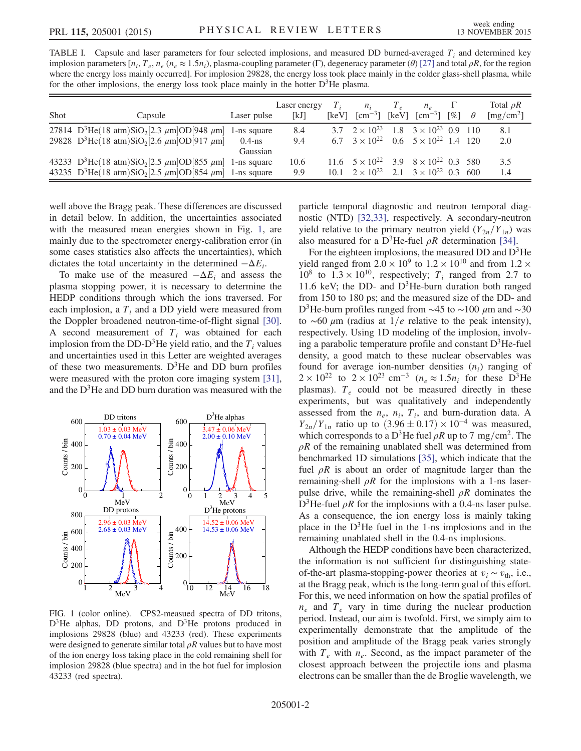<span id="page-1-0"></span>TABLE I. Capsule and laser parameters for four selected implosions, and measured DD burned-averaged  $T_i$  and determined key implosion parameters  $[n_i, T_e, n_e (n_e \approx 1.5n_i)]$ , plasma-coupling parameter (Γ), degeneracy parameter (θ) [\[27\]](#page-4-12) and total  $\rho R$ , for the region where the energy loss mainly occurred]. For implosion 29828, the energy loss took place mainly in the colder glass-shell plasma, while for the other implosions, the energy loss took place mainly in the hotter  $D^3$ He plasma.

| <b>Shot</b> | Capsule                                                                                                                                                      | Laser pulse                          | Laser energy<br>[kJ] | [keV] | $n_i$<br>$\lceil$ cm <sup>-3</sup> $\rceil$                                       | $T_{\rho}$<br>[keV] | $n_{\circ}$<br>$\lceil \text{cm}^{-3} \rceil$ $\lceil \% \rceil$ | $\theta$ | Total $\rho R$<br>$\left[\text{mg/cm}^2\right]$ |
|-------------|--------------------------------------------------------------------------------------------------------------------------------------------------------------|--------------------------------------|----------------------|-------|-----------------------------------------------------------------------------------|---------------------|------------------------------------------------------------------|----------|-------------------------------------------------|
|             | 27814 D <sup>3</sup> He(18 atm)SiO <sub>2</sub> [2.3 $\mu$ m]OD[948 $\mu$ m]<br>29828 D <sup>3</sup> He(18 atm)SiO <sub>2</sub> [2.6 $\mu$ m]OD[917 $\mu$ m] | 1-ns square<br>$0.4$ -ns<br>Gaussian | 8.4<br>9.4           |       | 3.7 $2 \times 10^{23}$<br>6.7 $3 \times 10^{22}$ 0.6 $5 \times 10^{22}$ 1.4 120   |                     | 1.8 $3 \times 10^{23}$ 0.9 110                                   |          | 8.1<br>2.0                                      |
|             | 43233 D <sup>3</sup> He(18 atm)SiO <sub>2</sub> [2.5 $\mu$ m]OD[855 $\mu$ m]<br>43235 D <sup>3</sup> He(18 atm)SiO <sub>2</sub> [2.5 $\mu$ m]OD[854 $\mu$ m] | 1-ns square<br>1-ns square           | 10.6<br>9.9          |       | 11.6 $5 \times 10^{22}$<br>10.1 $2 \times 10^{22}$ 2.1 $3 \times 10^{22}$ 0.3 600 |                     | 3.9 $8 \times 10^{22}$ 0.3 580                                   |          | 3.5<br>1.4                                      |

well above the Bragg peak. These differences are discussed in detail below. In addition, the uncertainties associated with the measured mean energies shown in Fig. [1,](#page-1-1) are mainly due to the spectrometer energy-calibration error (in some cases statistics also affects the uncertainties), which dictates the total uncertainty in the determined  $-\Delta E_i$ .

To make use of the measured  $-\Delta E_i$  and assess the plasma stopping power, it is necessary to determine the HEDP conditions through which the ions traversed. For each implosion, a  $T_i$  and a DD yield were measured from the Doppler broadened neutron-time-of-flight signal [\[30\]](#page-4-7). A second measurement of  $T_i$  was obtained for each implosion from the DD-D<sup>3</sup>He yield ratio, and the  $T_i$  values and uncertainties used in this Letter are weighted averages of these two measurements.  $D^3$ He and DD burn profiles were measured with the proton core imaging system [\[31\]](#page-4-8), and the  $D<sup>3</sup>$ He and DD burn duration was measured with the

<span id="page-1-1"></span>

FIG. 1 (color online). CPS2-measued spectra of DD tritons,  $D<sup>3</sup>$ He alphas, DD protons, and  $D<sup>3</sup>$ He protons produced in implosions 29828 (blue) and 43233 (red). These experiments were designed to generate similar total  $\rho R$  values but to have most of the ion energy loss taking place in the cold remaining shell for implosion 29828 (blue spectra) and in the hot fuel for implosion 43233 (red spectra).

particle temporal diagnostic and neutron temporal diagnostic (NTD) [\[32,33\]](#page-4-9), respectively. A secondary-neutron yield relative to the primary neutron yield  $(Y_{2n}/Y_{1n})$  was also measured for a D<sup>3</sup>He-fuel  $\rho R$  determination [\[34\].](#page-4-10)

For the eighteen implosions, the measured DD and  $D<sup>3</sup>$ He yield ranged from  $2.0 \times 10^9$  to  $1.2 \times 10^{10}$  and from  $1.2 \times$  $10^8$  to  $1.3 \times 10^{10}$ , respectively;  $T_i$  ranged from 2.7 to 11.6 keV; the DD- and  $D^3$ He-burn duration both ranged from 150 to 180 ps; and the measured size of the DD- and D<sup>3</sup>He-burn profiles ranged from ~45 to ~100  $\mu$ m and ~30 to ∼60  $\mu$ m (radius at 1/*e* relative to the peak intensity), respectively. Using 1D modeling of the implosion, involving a parabolic temperature profile and constant  $D<sup>3</sup>$ He-fuel density, a good match to these nuclear observables was found for average ion-number densities  $(n_i)$  ranging of  $2 \times 10^{22}$  to  $2 \times 10^{23}$  cm<sup>-3</sup> (n<sub>e</sub>  $\approx 1.5n_i$  for these D<sup>3</sup>He plasmas).  $T_e$  could not be measured directly in these experiments, but was qualitatively and independently assessed from the  $n_e$ ,  $n_i$ ,  $T_i$ , and burn-duration data. A  $Y_{2n}/Y_{1n}$  ratio up to  $(3.96 \pm 0.17) \times 10^{-4}$  was measured, which corresponds to a D<sup>3</sup>He fuel  $\rho R$  up to 7 mg/cm<sup>2</sup>. The  $\rho R$  of the remaining unablated shell was determined from benchmarked 1D simulations [\[35\]](#page-4-11), which indicate that the fuel  $\rho R$  is about an order of magnitude larger than the remaining-shell  $\rho R$  for the implosions with a 1-ns laserpulse drive, while the remaining-shell  $\rho R$  dominates the D<sup>3</sup>He-fuel  $\rho R$  for the implosions with a 0.4-ns laser pulse. As a consequence, the ion energy loss is mainly taking place in the  $D^3$ He fuel in the 1-ns implosions and in the remaining unablated shell in the 0.4-ns implosions.

Although the HEDP conditions have been characterized, the information is not sufficient for distinguishing stateof-the-art plasma-stopping-power theories at  $v_i \sim v_{\text{th}}$ , i.e., at the Bragg peak, which is the long-term goal of this effort. For this, we need information on how the spatial profiles of  $n_e$  and  $T_e$  vary in time during the nuclear production period. Instead, our aim is twofold. First, we simply aim to experimentally demonstrate that the amplitude of the position and amplitude of the Bragg peak varies strongly with  $T_e$  with  $n_e$ . Second, as the impact parameter of the closest approach between the projectile ions and plasma electrons can be smaller than the de Broglie wavelength, we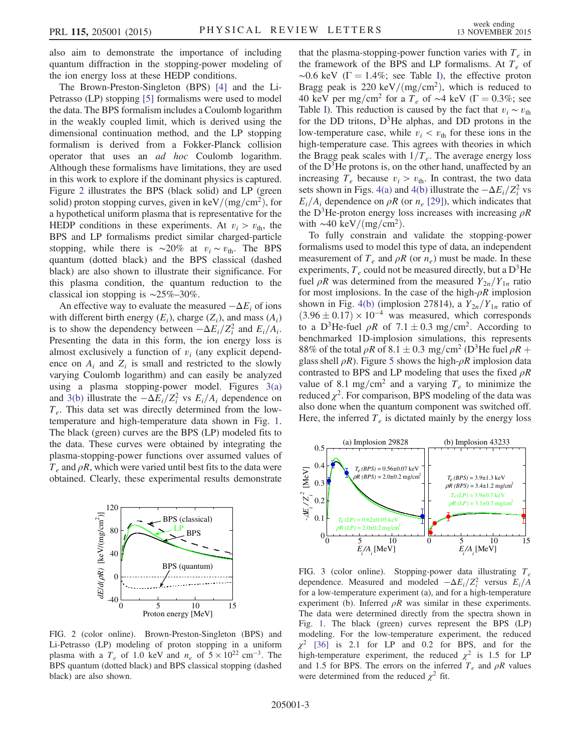also aim to demonstrate the importance of including quantum diffraction in the stopping-power modeling of the ion energy loss at these HEDP conditions.

The Brown-Preston-Singleton (BPS) [\[4\]](#page-3-3) and the Li-Petrasso (LP) stopping [\[5\]](#page-3-4) formalisms were used to model the data. The BPS formalism includes a Coulomb logarithm in the weakly coupled limit, which is derived using the dimensional continuation method, and the LP stopping formalism is derived from a Fokker-Planck collision operator that uses an ad hoc Coulomb logarithm. Although these formalisms have limitations, they are used in this work to explore if the dominant physics is captured. Figure [2](#page-2-0) illustrates the BPS (black solid) and LP (green solid) proton stopping curves, given in  $\text{keV}/\text{(mg/cm}^2)$ , for a hypothetical uniform plasma that is representative for the HEDP conditions in these experiments. At  $v_i > v_{\text{th}}$ , the BPS and LP formalisms predict similar charged-particle stopping, while there is ∼20% at  $v_i \sim v_{\text{th}}$ . The BPS quantum (dotted black) and the BPS classical (dashed black) are also shown to illustrate their significance. For this plasma condition, the quantum reduction to the classical ion stopping is ∼25%–30%.

An effective way to evaluate the measured  $-\Delta E_i$  of ions with different birth energy  $(E_i)$ , charge  $(Z_i)$ , and mass  $(A_i)$ is to show the dependency between  $-\Delta E_i/Z_i^2$  and  $E_i/A_i$ . Presenting the data in this form, the ion energy loss is almost exclusively a function of  $v_i$  (any explicit dependence on  $A_i$  and  $Z_i$  is small and restricted to the slowly varying Coulomb logarithm) and can easily be analyzed using a plasma stopping-power model. Figures [3\(a\)](#page-2-1) and [3\(b\)](#page-2-1) illustrate the  $-\Delta E_i/Z_i^2$  vs  $E_i/A_i$  dependence on  $T_e$ . This data set was directly determined from the lowtemperature and high-temperature data shown in Fig. [1](#page-1-1). The black (green) curves are the BPS (LP) modeled fits to the data. These curves were obtained by integrating the plasma-stopping-power functions over assumed values of  $T_e$  and  $\rho R$ , which were varied until best fits to the data were obtained. Clearly, these experimental results demonstrate

<span id="page-2-0"></span>

FIG. 2 (color online). Brown-Preston-Singleton (BPS) and Li-Petrasso (LP) modeling of proton stopping in a uniform plasma with a  $T_e$  of 1.0 keV and  $n_e$  of  $5 \times 10^{22}$  cm<sup>-3</sup>. The BPS quantum (dotted black) and BPS classical stopping (dashed black) are also shown.

that the plasma-stopping-power function varies with  $T_e$  in the framework of the BPS and LP formalisms. At  $T_e$  of  $\sim$ 0.6 keV ( $\Gamma = 1.4\%$ ; see Table [I\)](#page-1-0), the effective proton Bragg peak is 220 keV/(mg/cm<sup>2</sup>), which is reduced to 40 keV per mg/cm<sup>2</sup> for a T<sub>e</sub> of ∼4 keV ( $\Gamma$  = 0.3%; see Table [I\)](#page-1-0). This reduction is caused by the fact that  $v_i \sim v_{\text{th}}$ for the DD tritons,  $D^3$ He alphas, and DD protons in the low-temperature case, while  $v_i < v_{\text{th}}$  for these ions in the high-temperature case. This agrees with theories in which the Bragg peak scales with  $1/T_e$ . The average energy loss of the  $D<sup>3</sup>$ He protons is, on the other hand, unaffected by an increasing  $T_e$  because  $v_i > v_{\text{th}}$ . In contrast, the two data sets shown in Figs. [4\(a\)](#page-3-5) and [4\(b\)](#page-3-5) illustrate the  $-\Delta E_i/Z_i^2$  vs  $E_i/A_i$  dependence on  $\rho R$  (or  $n_e$  [\[29\]\)](#page-4-6), which indicates that the D<sup>3</sup>He-proton energy loss increases with increasing  $\rho R$ with  $\sim$ 40 keV/(mg/cm<sup>2</sup>).

To fully constrain and validate the stopping-power formalisms used to model this type of data, an independent measurement of  $T_e$  and  $\rho R$  (or  $n_e$ ) must be made. In these experiments,  $T_e$  could not be measured directly, but a  $D^3$ He fuel  $\rho R$  was determined from the measured  $Y_{2n}/Y_{1n}$  ratio for most implosions. In the case of the high- $\rho R$  implosion shown in Fig. [4\(b\)](#page-3-5) (implosion 27814), a  $Y_{2n}/Y_{1n}$  ratio of  $(3.96 \pm 0.17) \times 10^{-4}$  was measured, which corresponds to a D<sup>3</sup>He-fuel  $\rho R$  of 7.1  $\pm$  0.3 mg/cm<sup>2</sup>. According to benchmarked 1D-implosion simulations, this represents 88% of the total  $\rho R$  of 8.1  $\pm$  0.3 mg/cm<sup>2</sup> (D<sup>3</sup>He fuel  $\rho R$  + glass shell  $\rho R$ ). Figure [5](#page-3-6) shows the high- $\rho R$  implosion data contrasted to BPS and LP modeling that uses the fixed  $\rho R$ value of 8.1 mg/cm<sup>2</sup> and a varying  $T_e$  to minimize the reduced  $\chi^2$ . For comparison, BPS modeling of the data was also done when the quantum component was switched off. Here, the inferred  $T_e$  is dictated mainly by the energy loss

<span id="page-2-1"></span>

FIG. 3 (color online). Stopping-power data illustrating  $T_e$ dependence. Measured and modeled  $-\Delta E_i/Z_i^2$  versus  $E_i/A$ for a low-temperature experiment (a), and for a high-temperature experiment (b). Inferred  $\rho R$  was similar in these experiments. The data were determined directly from the spectra shown in Fig. [1](#page-1-1). The black (green) curves represent the BPS (LP) modeling. For the low-temperature experiment, the reduced  $\chi^2$  [\[36\]](#page-4-13) is 2.1 for LP and 0.2 for BPS, and for the high-temperature experiment, the reduced  $\chi^2$  is 1.5 for LP and 1.5 for BPS. The errors on the inferred  $T_e$  and  $\rho R$  values were determined from the reduced  $\chi^2$  fit.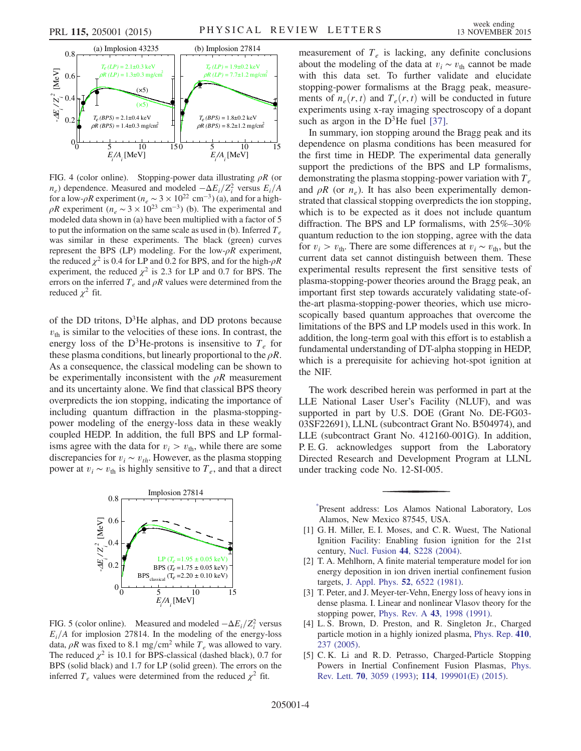<span id="page-3-5"></span>

FIG. 4 (color online). Stopping-power data illustrating  $\rho R$  (or  $n_e$ ) dependence. Measured and modeled  $-\Delta E_i/Z_i^2$  versus  $E_i/A$ for a low- $\rho R$  experiment ( $n_e \sim 3 \times 10^{22}$  cm<sup>-3</sup>) (a), and for a high- $\rho R$  experiment ( $n_e \sim 3 \times 10^{23}$  cm<sup>-3</sup>) (b). The experimental and modeled data shown in (a) have been multiplied with a factor of 5 to put the information on the same scale as used in (b). Inferred  $T_e$ was similar in these experiments. The black (green) curves represent the BPS (LP) modeling. For the low- $\rho R$  experiment, the reduced  $\chi^2$  is 0.4 for LP and 0.2 for BPS, and for the high- $\rho R$ experiment, the reduced  $\chi^2$  is 2.3 for LP and 0.7 for BPS. The errors on the inferred  $T_e$  and  $\rho R$  values were determined from the reduced  $\chi^2$  fit.

of the DD tritons,  $D^3$ He alphas, and DD protons because  $v_{\text{th}}$  is similar to the velocities of these ions. In contrast, the energy loss of the D<sup>3</sup>He-protons is insensitive to  $T_e$  for these plasma conditions, but linearly proportional to the  $\rho R$ . As a consequence, the classical modeling can be shown to be experimentally inconsistent with the  $\rho R$  measurement and its uncertainty alone. We find that classical BPS theory overpredicts the ion stopping, indicating the importance of including quantum diffraction in the plasma-stoppingpower modeling of the energy-loss data in these weakly coupled HEDP. In addition, the full BPS and LP formalisms agree with the data for  $v_i > v_{\text{th}}$ , while there are some discrepancies for  $v_i \sim v_{th}$ . However, as the plasma stopping power at  $v_i \sim v_{\text{th}}$  is highly sensitive to  $T_e$ , and that a direct

<span id="page-3-6"></span>

FIG. 5 (color online). Measured and modeled  $-\Delta E_i/Z_i^2$  versus  $E_i/A$  for implosion 27814. In the modeling of the energy-loss data,  $\rho R$  was fixed to 8.1 mg/cm<sup>2</sup> while  $T_e$  was allowed to vary. The reduced  $\chi^2$  is 10.1 for BPS-classical (dashed black), 0.7 for BPS (solid black) and 1.7 for LP (solid green). The errors on the inferred  $T_e$  values were determined from the reduced  $\chi^2$  fit.

measurement of  $T_e$  is lacking, any definite conclusions about the modeling of the data at  $v_i \sim v_{\text{th}}$  cannot be made with this data set. To further validate and elucidate stopping-power formalisms at the Bragg peak, measurements of  $n_e(r, t)$  and  $T_e(r, t)$  will be conducted in future experiments using x-ray imaging spectroscopy of a dopant such as argon in the  $D^3$ He fuel [\[37\].](#page-4-14)

In summary, ion stopping around the Bragg peak and its dependence on plasma conditions has been measured for the first time in HEDP. The experimental data generally support the predictions of the BPS and LP formalisms, demonstrating the plasma stopping-power variation with  $T_e$ and  $\rho R$  (or  $n_e$ ). It has also been experimentally demonstrated that classical stopping overpredicts the ion stopping, which is to be expected as it does not include quantum diffraction. The BPS and LP formalisms, with 25%–30% quantum reduction to the ion stopping, agree with the data for  $v_i > v_{\text{th}}$ . There are some differences at  $v_i \sim v_{\text{th}}$ , but the current data set cannot distinguish between them. These experimental results represent the first sensitive tests of plasma-stopping-power theories around the Bragg peak, an important first step towards accurately validating state-ofthe-art plasma-stopping-power theories, which use microscopically based quantum approaches that overcome the limitations of the BPS and LP models used in this work. In addition, the long-term goal with this effort is to establish a fundamental understanding of DT-alpha stopping in HEDP, which is a prerequisite for achieving hot-spot ignition at the NIF.

The work described herein was performed in part at the LLE National Laser User's Facility (NLUF), and was supported in part by U.S. DOE (Grant No. DE-FG03- 03SF22691), LLNL (subcontract Grant No. B504974), and LLE (subcontract Grant No. 412160-001G). In addition, P. E. G. acknowledges support from the Laboratory Directed Research and Development Program at LLNL under tracking code No. 12-SI-005.

<span id="page-3-0"></span>[\\*](#page-0-0) Present address: Los Alamos National Laboratory, Los Alamos, New Mexico 87545, USA.

- <span id="page-3-1"></span>[1] G. H. Miller, E. I. Moses, and C. R. Wuest, The National Ignition Facility: Enabling fusion ignition for the 21st century, Nucl. Fusion 44[, S228 \(2004\)](http://dx.doi.org/10.1088/0029-5515/44/12/S14).
- <span id="page-3-2"></span>[2] T. A. Mehlhorn, A finite material temperature model for ion energy deposition in ion driven inertial confinement fusion targets, [J. Appl. Phys.](http://dx.doi.org/10.1063/1.328602) 52, 6522 (1981).
- [3] T. Peter, and J. Meyer-ter-Vehn, Energy loss of heavy ions in dense plasma. I. Linear and nonlinear Vlasov theory for the stopping power, Phys. Rev. A 43[, 1998 \(1991\).](http://dx.doi.org/10.1103/PhysRevA.43.1998)
- <span id="page-3-3"></span>[4] L. S. Brown, D. Preston, and R. Singleton Jr., Charged particle motion in a highly ionized plasma, [Phys. Rep.](http://dx.doi.org/10.1016/j.physrep.2005.01.001) 410, [237 \(2005\)](http://dx.doi.org/10.1016/j.physrep.2005.01.001).
- <span id="page-3-4"></span>[5] C. K. Li and R. D. Petrasso, Charged-Particle Stopping Powers in Inertial Confinement Fusion Plasmas, [Phys.](http://dx.doi.org/10.1103/PhysRevLett.70.3059) Rev. Lett. 70[, 3059 \(1993\)](http://dx.doi.org/10.1103/PhysRevLett.70.3059); 114[, 199901\(E\) \(2015\)](http://dx.doi.org/10.1103/PhysRevLett.114.199901).